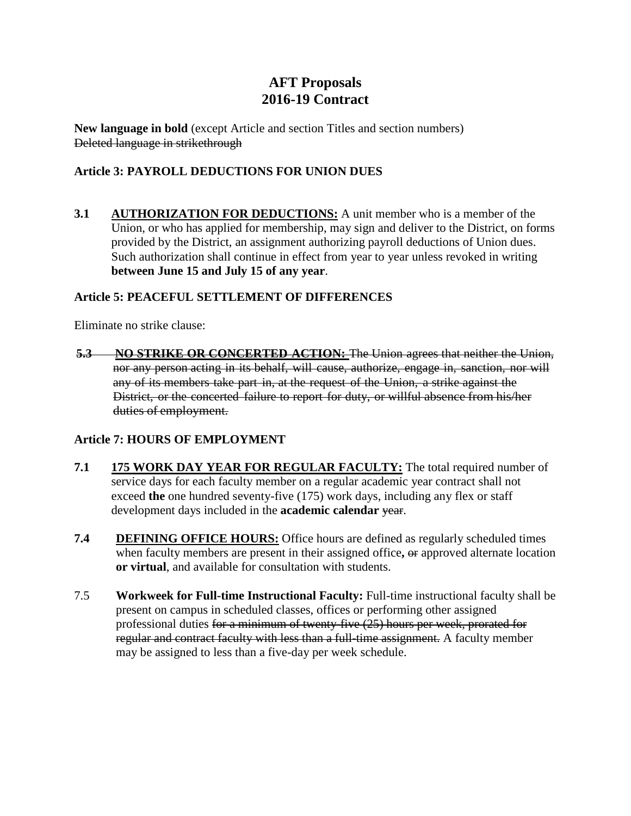# **AFT Proposals 2016-19 Contract**

**New language in bold** (except Article and section Titles and section numbers) Deleted language in strikethrough

# **Article 3: PAYROLL DEDUCTIONS FOR UNION DUES**

**3.1 AUTHORIZATION FOR DEDUCTIONS:** A unit member who is a member of the Union, or who has applied for membership, may sign and deliver to the District, on forms provided by the District, an assignment authorizing payroll deductions of Union dues. Such authorization shall continue in effect from year to year unless revoked in writing **between June 15 and July 15 of any year**.

# **Article 5: PEACEFUL SETTLEMENT OF DIFFERENCES**

Eliminate no strike clause:

**5.3 NO STRIKE OR CONCERTED ACTION:** The Union agrees that neither the Union, nor any person acting in its behalf, will cause, authorize, engage in, sanction, nor will any of its members take part in, at the request of the Union, a strike against the District, or the concerted failure to report for duty, or willful absence from his/her duties of employment.

# **Article 7: HOURS OF EMPLOYMENT**

- **7.1 175 WORK DAY YEAR FOR REGULAR FACULTY:** The total required number of service days for each faculty member on a regular academic year contract shall not exceed **the** one hundred seventy-five (175) work days, including any flex or staff development days included in the **academic calendar** year.
- **7.4 DEFINING OFFICE HOURS:** Office hours are defined as regularly scheduled times when faculty members are present in their assigned office**,** or approved alternate location **or virtual**, and available for consultation with students.
- 7.5 **Workweek for Full-time Instructional Faculty:** Full-time instructional faculty shall be present on campus in scheduled classes, offices or performing other assigned professional duties for a minimum of twenty-five (25) hours per week, prorated for regular and contract faculty with less than a full-time assignment. A faculty member may be assigned to less than a five-day per week schedule.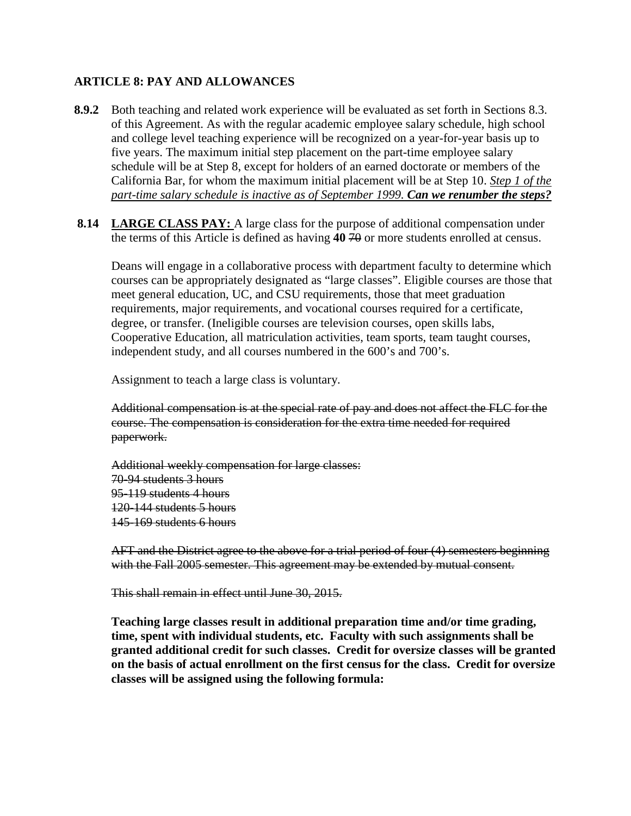### **ARTICLE 8: PAY AND ALLOWANCES**

- **8.9.2** Both teaching and related work experience will be evaluated as set forth in Sections 8.3. of this Agreement. As with the regular academic employee salary schedule, high school and college level teaching experience will be recognized on a year-for-year basis up to five years. The maximum initial step placement on the part-time employee salary schedule will be at Step 8, except for holders of an earned doctorate or members of the California Bar, for whom the maximum initial placement will be at Step 10. *Step 1 of the part-time salary schedule is inactive as of September 1999. Can we renumber the steps?*
- 8.14 LARGE CLASS PAY: A large class for the purpose of additional compensation under the terms of this Article is defined as having 40 70 or more students enrolled at census.

Deans will engage in a collaborative process with department faculty to determine which courses can be appropriately designated as "large classes". Eligible courses are those that meet general education, UC, and CSU requirements, those that meet graduation requirements, major requirements, and vocational courses required for a certificate, degree, or transfer. (Ineligible courses are television courses, open skills labs, Cooperative Education, all matriculation activities, team sports, team taught courses, independent study, and all courses numbered in the 600's and 700's.

Assignment to teach a large class is voluntary.

Additional compensation is at the special rate of pay and does not affect the FLC for the course. The compensation is consideration for the extra time needed for required paperwork.

Additional weekly compensation for large classes: 70-94 students 3 hours 95-119 students 4 hours 120-144 students 5 hours 145-169 students 6 hours

AFT and the District agree to the above for a trial period of four (4) semesters beginning with the Fall 2005 semester. This agreement may be extended by mutual consent.

This shall remain in effect until June 30, 2015.

**Teaching large classes result in additional preparation time and/or time grading, time, spent with individual students, etc. Faculty with such assignments shall be granted additional credit for such classes. Credit for oversize classes will be granted on the basis of actual enrollment on the first census for the class. Credit for oversize classes will be assigned using the following formula:**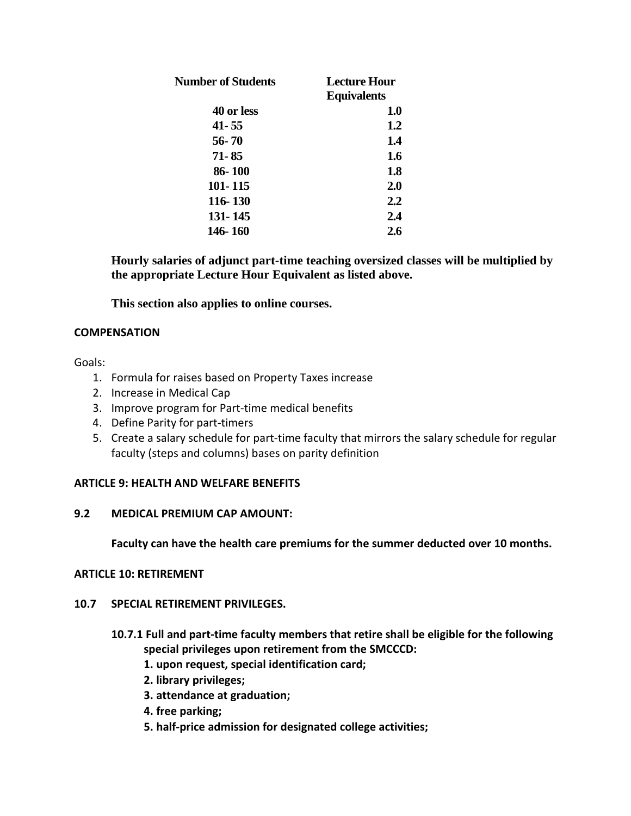| Number of Students | Lecture Hour<br><b>Equivalents</b> |
|--------------------|------------------------------------|
| 40 or less         | 1.0                                |
| 41-55              | 1.2                                |
| 56-70              | 1.4                                |
| 71-85              | 1.6                                |
| 86-100             | 1.8                                |
| 101-115            | 2.0                                |
| 116-130            | 2.2                                |
| 131-145            | 2.4                                |
| 146-160            | 2.6                                |

**Hourly salaries of adjunct part-time teaching oversized classes will be multiplied by the appropriate Lecture Hour Equivalent as listed above.**

**This section also applies to online courses.**

### **COMPENSATION**

Goals:

- 1. Formula for raises based on Property Taxes increase
- 2. Increase in Medical Cap
- 3. Improve program for Part-time medical benefits
- 4. Define Parity for part-timers
- 5. Create a salary schedule for part-time faculty that mirrors the salary schedule for regular faculty (steps and columns) bases on parity definition

#### **ARTICLE 9: HEALTH AND WELFARE BENEFITS**

#### **9.2 MEDICAL PREMIUM CAP AMOUNT:**

**Faculty can have the health care premiums for the summer deducted over 10 months.**

#### **ARTICLE 10: RETIREMENT**

#### **10.7 SPECIAL RETIREMENT PRIVILEGES.**

- **10.7.1 Full and part-time faculty members that retire shall be eligible for the following special privileges upon retirement from the SMCCCD:** 
	- **1. upon request, special identification card;**
	- **2. library privileges;**
	- **3. attendance at graduation;**
	- **4. free parking;**
	- **5. half-price admission for designated college activities;**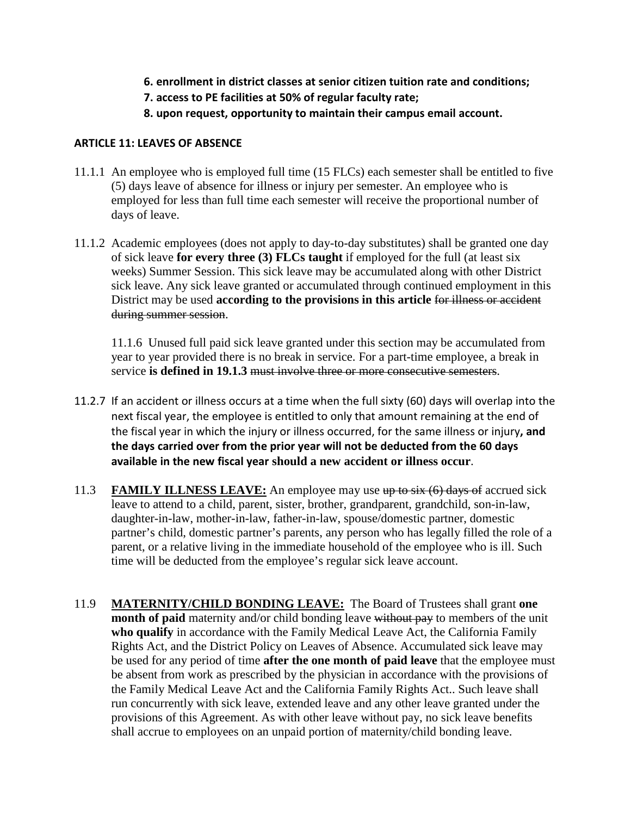- **6. enrollment in district classes at senior citizen tuition rate and conditions;**
- **7. access to PE facilities at 50% of regular faculty rate;**
- **8. upon request, opportunity to maintain their campus email account.**

### **ARTICLE 11: LEAVES OF ABSENCE**

- 11.1.1 An employee who is employed full time (15 FLCs) each semester shall be entitled to five (5) days leave of absence for illness or injury per semester. An employee who is employed for less than full time each semester will receive the proportional number of days of leave.
- 11.1.2 Academic employees (does not apply to day-to-day substitutes) shall be granted one day of sick leave **for every three (3) FLCs taught** if employed for the full (at least six weeks) Summer Session. This sick leave may be accumulated along with other District sick leave. Any sick leave granted or accumulated through continued employment in this District may be used **according to the provisions in this article** for illness or accident during summer session.

11.1.6 Unused full paid sick leave granted under this section may be accumulated from year to year provided there is no break in service. For a part-time employee, a break in service **is defined in 19.1.3** must involve three or more consecutive semesters.

- 11.2.7 If an accident or illness occurs at a time when the full sixty (60) days will overlap into the next fiscal year, the employee is entitled to only that amount remaining at the end of the fiscal year in which the injury or illness occurred, for the same illness or injury**, and the days carried over from the prior year will not be deducted from the 60 days available in the new fiscal year should a new accident or illness occur**.
- 11.3 **FAMILY ILLNESS LEAVE:** An employee may use up to six (6) days of accrued sick leave to attend to a child, parent, sister, brother, grandparent, grandchild, son-in-law, daughter-in-law, mother-in-law, father-in-law, spouse/domestic partner, domestic partner's child, domestic partner's parents, any person who has legally filled the role of a parent, or a relative living in the immediate household of the employee who is ill. Such time will be deducted from the employee's regular sick leave account.
- 11.9 **MATERNITY/CHILD BONDING LEAVE:** The Board of Trustees shall grant **one month of paid** maternity and/or child bonding leave without pay to members of the unit **who qualify** in accordance with the Family Medical Leave Act, the California Family Rights Act, and the District Policy on Leaves of Absence. Accumulated sick leave may be used for any period of time **after the one month of paid leave** that the employee must be absent from work as prescribed by the physician in accordance with the provisions of the Family Medical Leave Act and the California Family Rights Act.. Such leave shall run concurrently with sick leave, extended leave and any other leave granted under the provisions of this Agreement. As with other leave without pay, no sick leave benefits shall accrue to employees on an unpaid portion of maternity/child bonding leave.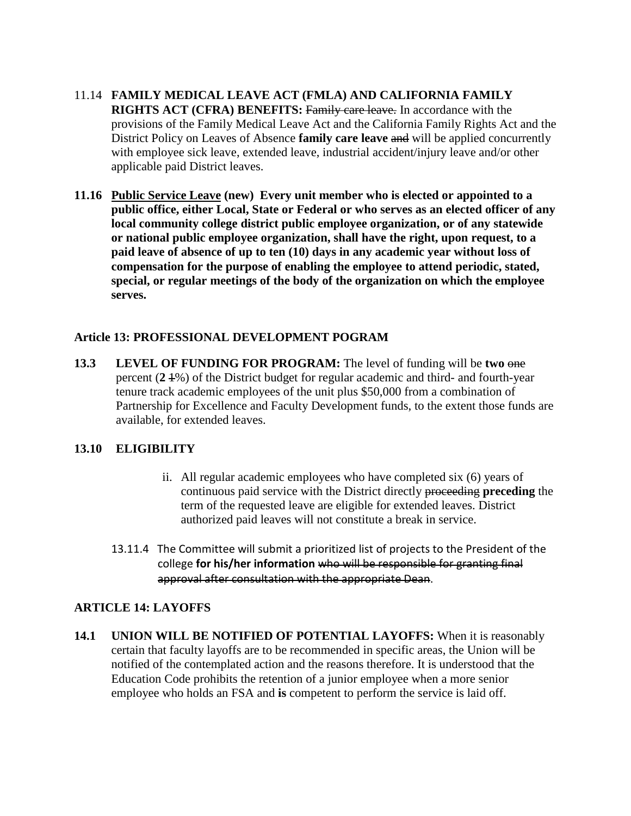- 11.14 **FAMILY MEDICAL LEAVE ACT (FMLA) AND CALIFORNIA FAMILY RIGHTS ACT (CFRA) BENEFITS:** Family care leave. In accordance with the provisions of the Family Medical Leave Act and the California Family Rights Act and the District Policy on Leaves of Absence **family care leave** and will be applied concurrently with employee sick leave, extended leave, industrial accident/injury leave and/or other applicable paid District leaves.
- **11.16 Public Service Leave (new) Every unit member who is elected or appointed to a public office, either Local, State or Federal or who serves as an elected officer of any local community college district public employee organization, or of any statewide or national public employee organization, shall have the right, upon request, to a paid leave of absence of up to ten (10) days in any academic year without loss of compensation for the purpose of enabling the employee to attend periodic, stated, special, or regular meetings of the body of the organization on which the employee serves.**

# **Article 13: PROFESSIONAL DEVELOPMENT POGRAM**

**13.3** LEVEL OF FUNDING FOR PROGRAM: The level of funding will be two one percent (**2** 1%) of the District budget for regular academic and third- and fourth-year tenure track academic employees of the unit plus \$50,000 from a combination of Partnership for Excellence and Faculty Development funds, to the extent those funds are available, for extended leaves.

# **13.10 ELIGIBILITY**

- ii. All regular academic employees who have completed six (6) years of continuous paid service with the District directly proceeding **preceding** the term of the requested leave are eligible for extended leaves. District authorized paid leaves will not constitute a break in service.
- 13.11.4 The Committee will submit a prioritized list of projects to the President of the college **for his/her information** who will be responsible for granting final approval after consultation with the appropriate Dean.

# **ARTICLE 14: LAYOFFS**

**14.1 UNION WILL BE NOTIFIED OF POTENTIAL LAYOFFS:** When it is reasonably certain that faculty layoffs are to be recommended in specific areas, the Union will be notified of the contemplated action and the reasons therefore. It is understood that the Education Code prohibits the retention of a junior employee when a more senior employee who holds an FSA and **is** competent to perform the service is laid off.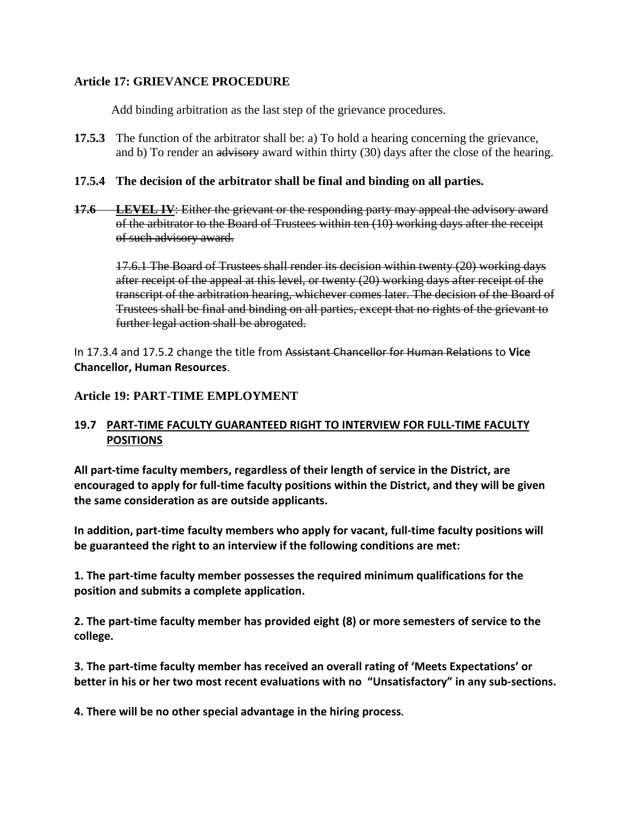### **Article 17: GRIEVANCE PROCEDURE**

Add binding arbitration as the last step of the grievance procedures.

**17.5.3** The function of the arbitrator shall be: a) To hold a hearing concerning the grievance, and b) To render an advisory award within thirty (30) days after the close of the hearing.

### **17.5.4 The decision of the arbitrator shall be final and binding on all parties.**

**17.6 LEVEL IV:** Either the grievant or the responding party may appeal the advisory award of the arbitrator to the Board of Trustees within ten (10) working days after the receipt of such advisory award.

17.6.1 The Board of Trustees shall render its decision within twenty (20) working days after receipt of the appeal at this level, or twenty (20) working days after receipt of the transcript of the arbitration hearing, whichever comes later. The decision of the Board of Trustees shall be final and binding on all parties, except that no rights of the grievant to further legal action shall be abrogated.

In 17.3.4 and 17.5.2 change the title from Assistant Chancellor for Human Relations to **Vice Chancellor, Human Resources**.

### **Article 19: PART-TIME EMPLOYMENT**

# **19.7 PART-TIME FACULTY GUARANTEED RIGHT TO INTERVIEW FOR FULL-TIME FACULTY POSITIONS**

**All part-time faculty members, regardless of their length of service in the District, are encouraged to apply for full-time faculty positions within the District, and they will be given the same consideration as are outside applicants.**

**In addition, part-time faculty members who apply for vacant, full-time faculty positions will be guaranteed the right to an interview if the following conditions are met:** 

**1. The part-time faculty member possesses the required minimum qualifications for the position and submits a complete application.**

**2. The part-time faculty member has provided eight (8) or more semesters of service to the college.**

**3. The part-time faculty member has received an overall rating of 'Meets Expectations' or better in his or her two most recent evaluations with no "Unsatisfactory" in any sub-sections.**

**4. There will be no other special advantage in the hiring process.**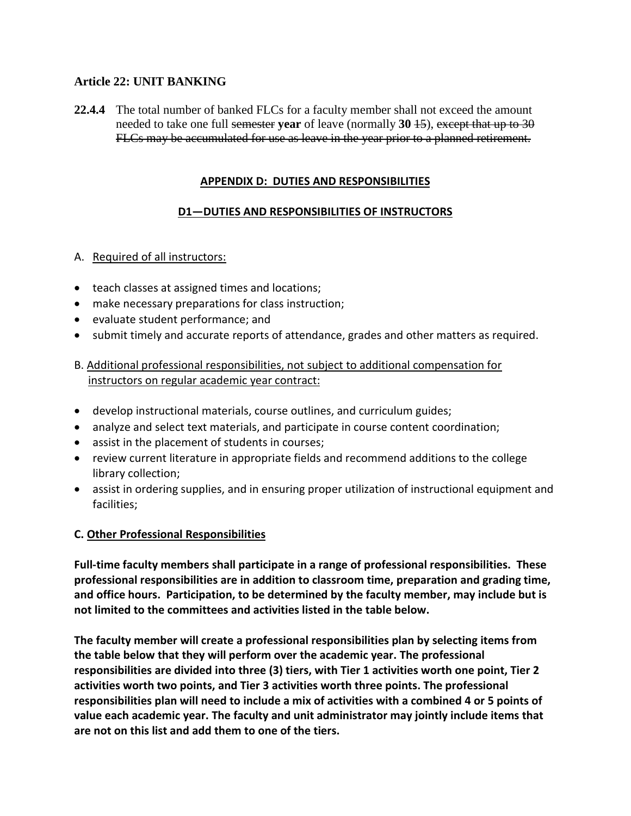# **Article 22: UNIT BANKING**

**22.4.4** The total number of banked FLCs for a faculty member shall not exceed the amount needed to take one full semester **year** of leave (normally **30** 15), except that up to 30 FLCs may be accumulated for use as leave in the year prior to a planned retirement.

### **APPENDIX D: DUTIES AND RESPONSIBILITIES**

# **D1—DUTIES AND RESPONSIBILITIES OF INSTRUCTORS**

### A. Required of all instructors:

- teach classes at assigned times and locations;
- make necessary preparations for class instruction;
- evaluate student performance; and
- submit timely and accurate reports of attendance, grades and other matters as required.

# B. Additional professional responsibilities, not subject to additional compensation for instructors on regular academic year contract:

- develop instructional materials, course outlines, and curriculum guides;
- analyze and select text materials, and participate in course content coordination;
- assist in the placement of students in courses;
- review current literature in appropriate fields and recommend additions to the college library collection;
- assist in ordering supplies, and in ensuring proper utilization of instructional equipment and facilities;

# **C. Other Professional Responsibilities**

**Full-time faculty members shall participate in a range of professional responsibilities. These professional responsibilities are in addition to classroom time, preparation and grading time, and office hours. Participation, to be determined by the faculty member, may include but is not limited to the committees and activities listed in the table below.** 

**The faculty member will create a professional responsibilities plan by selecting items from the table below that they will perform over the academic year. The professional responsibilities are divided into three (3) tiers, with Tier 1 activities worth one point, Tier 2 activities worth two points, and Tier 3 activities worth three points. The professional responsibilities plan will need to include a mix of activities with a combined 4 or 5 points of value each academic year. The faculty and unit administrator may jointly include items that are not on this list and add them to one of the tiers.**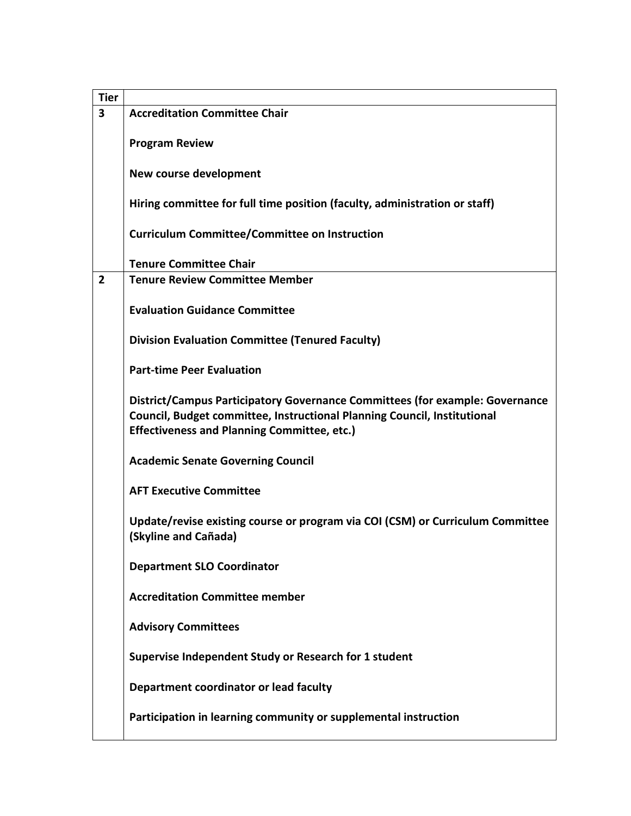| <b>Tier</b>    |                                                                                                                                                                                                                |
|----------------|----------------------------------------------------------------------------------------------------------------------------------------------------------------------------------------------------------------|
| 3              | <b>Accreditation Committee Chair</b>                                                                                                                                                                           |
|                | <b>Program Review</b>                                                                                                                                                                                          |
|                | New course development                                                                                                                                                                                         |
|                | Hiring committee for full time position (faculty, administration or staff)                                                                                                                                     |
|                | <b>Curriculum Committee/Committee on Instruction</b>                                                                                                                                                           |
|                | <b>Tenure Committee Chair</b>                                                                                                                                                                                  |
| $\overline{2}$ | <b>Tenure Review Committee Member</b>                                                                                                                                                                          |
|                | <b>Evaluation Guidance Committee</b>                                                                                                                                                                           |
|                | <b>Division Evaluation Committee (Tenured Faculty)</b>                                                                                                                                                         |
|                | <b>Part-time Peer Evaluation</b>                                                                                                                                                                               |
|                | District/Campus Participatory Governance Committees (for example: Governance<br>Council, Budget committee, Instructional Planning Council, Institutional<br><b>Effectiveness and Planning Committee, etc.)</b> |
|                | <b>Academic Senate Governing Council</b>                                                                                                                                                                       |
|                | <b>AFT Executive Committee</b>                                                                                                                                                                                 |
|                | Update/revise existing course or program via COI (CSM) or Curriculum Committee<br>(Skyline and Cañada)                                                                                                         |
|                | <b>Department SLO Coordinator</b>                                                                                                                                                                              |
|                | <b>Accreditation Committee member</b>                                                                                                                                                                          |
|                | <b>Advisory Committees</b>                                                                                                                                                                                     |
|                | Supervise Independent Study or Research for 1 student                                                                                                                                                          |
|                | Department coordinator or lead faculty                                                                                                                                                                         |
|                | Participation in learning community or supplemental instruction                                                                                                                                                |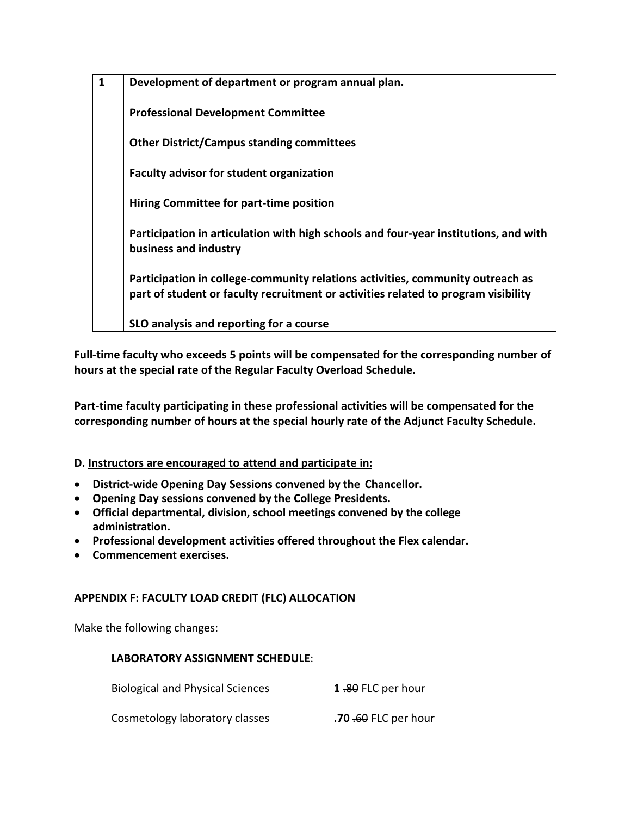**1 Development of department or program annual plan. Professional Development Committee Other District/Campus standing committees Faculty advisor for student organization Hiring Committee for part-time position Participation in articulation with high schools and four-year institutions, and with business and industry Participation in college-community relations activities, community outreach as part of student or faculty recruitment or activities related to program visibility SLO analysis and reporting for a course**

**Full-time faculty who exceeds 5 points will be compensated for the corresponding number of hours at the special rate of the Regular Faculty Overload Schedule.**

**Part-time faculty participating in these professional activities will be compensated for the corresponding number of hours at the special hourly rate of the Adjunct Faculty Schedule.** 

# **D. Instructors are encouraged to attend and participate in:**

- **District-wide Opening Day Sessions convened by the Chancellor.**
- **Opening Day sessions convened by the College Presidents.**
- **Official departmental, division, school meetings convened by the college administration.**
- **Professional development activities offered throughout the Flex calendar.**
- **Commencement exercises.**

# **APPENDIX F: FACULTY LOAD CREDIT (FLC) ALLOCATION**

Make the following changes:

#### **LABORATORY ASSIGNMENT SCHEDULE**:

Biological and Physical Sciences **1** .80 FLC per hour

**Cosmetology laboratory classes .70 .60 FLC per hour**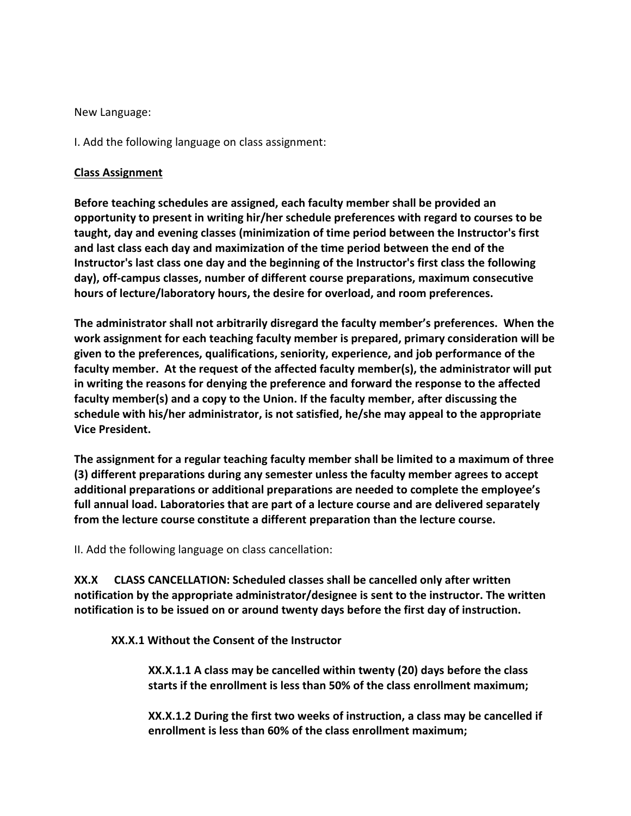New Language:

I. Add the following language on class assignment:

#### **Class Assignment**

**Before teaching schedules are assigned, each faculty member shall be provided an opportunity to present in writing hir/her schedule preferences with regard to courses to be taught, day and evening classes (minimization of time period between the Instructor's first and last class each day and maximization of the time period between the end of the Instructor's last class one day and the beginning of the Instructor's first class the following day), off-campus classes, number of different course preparations, maximum consecutive hours of lecture/laboratory hours, the desire for overload, and room preferences.** 

**The administrator shall not arbitrarily disregard the faculty member's preferences. When the work assignment for each teaching faculty member is prepared, primary consideration will be given to the preferences, qualifications, seniority, experience, and job performance of the faculty member. At the request of the affected faculty member(s), the administrator will put in writing the reasons for denying the preference and forward the response to the affected faculty member(s) and a copy to the Union. If the faculty member, after discussing the schedule with his/her administrator, is not satisfied, he/she may appeal to the appropriate Vice President.**

**The assignment for a regular teaching faculty member shall be limited to a maximum of three (3) different preparations during any semester unless the faculty member agrees to accept additional preparations or additional preparations are needed to complete the employee's full annual load. Laboratories that are part of a lecture course and are delivered separately from the lecture course constitute a different preparation than the lecture course.**

II. Add the following language on class cancellation:

**XX.X CLASS CANCELLATION: Scheduled classes shall be cancelled only after written notification by the appropriate administrator/designee is sent to the instructor. The written notification is to be issued on or around twenty days before the first day of instruction.** 

**XX.X.1 Without the Consent of the Instructor** 

**XX.X.1.1 A class may be cancelled within twenty (20) days before the class starts if the enrollment is less than 50% of the class enrollment maximum;** 

**XX.X.1.2 During the first two weeks of instruction, a class may be cancelled if enrollment is less than 60% of the class enrollment maximum;**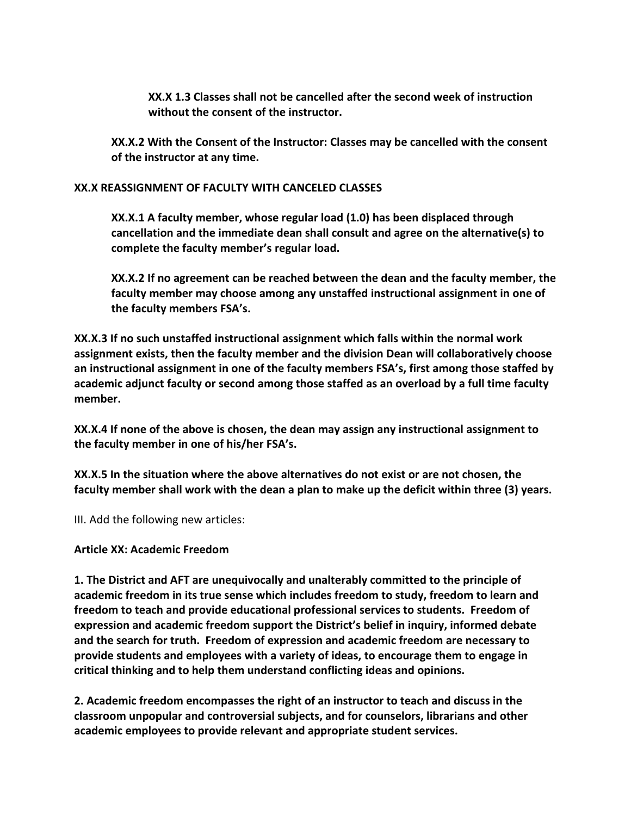**XX.X 1.3 Classes shall not be cancelled after the second week of instruction without the consent of the instructor.** 

**XX.X.2 With the Consent of the Instructor: Classes may be cancelled with the consent of the instructor at any time.** 

### **XX.X REASSIGNMENT OF FACULTY WITH CANCELED CLASSES**

**XX.X.1 A faculty member, whose regular load (1.0) has been displaced through cancellation and the immediate dean shall consult and agree on the alternative(s) to complete the faculty member's regular load.** 

**XX.X.2 If no agreement can be reached between the dean and the faculty member, the faculty member may choose among any unstaffed instructional assignment in one of the faculty members FSA's.** 

**XX.X.3 If no such unstaffed instructional assignment which falls within the normal work assignment exists, then the faculty member and the division Dean will collaboratively choose an instructional assignment in one of the faculty members FSA's, first among those staffed by academic adjunct faculty or second among those staffed as an overload by a full time faculty member.** 

**XX.X.4 If none of the above is chosen, the dean may assign any instructional assignment to the faculty member in one of his/her FSA's.** 

**XX.X.5 In the situation where the above alternatives do not exist or are not chosen, the faculty member shall work with the dean a plan to make up the deficit within three (3) years.**

III. Add the following new articles:

# **Article XX: Academic Freedom**

**1. The District and AFT are unequivocally and unalterably committed to the principle of academic freedom in its true sense which includes freedom to study, freedom to learn and freedom to teach and provide educational professional services to students. Freedom of expression and academic freedom support the District's belief in inquiry, informed debate and the search for truth. Freedom of expression and academic freedom are necessary to provide students and employees with a variety of ideas, to encourage them to engage in critical thinking and to help them understand conflicting ideas and opinions.**

**2. Academic freedom encompasses the right of an instructor to teach and discuss in the classroom unpopular and controversial subjects, and for counselors, librarians and other academic employees to provide relevant and appropriate student services.**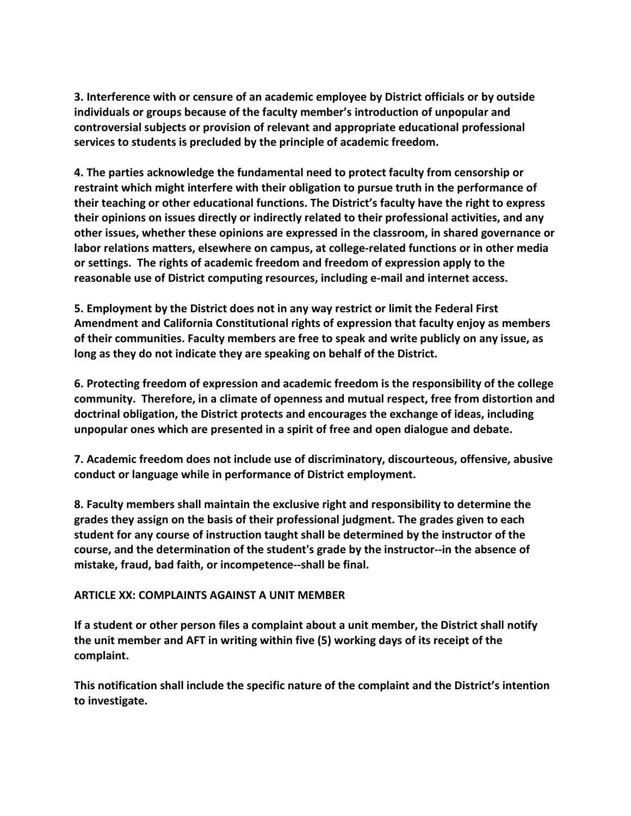**3. Interference with or censure of an academic employee by District officials or by outside individuals or groups because of the faculty member's introduction of unpopular and controversial subjects or provision of relevant and appropriate educational professional services to students is precluded by the principle of academic freedom.**

**4. The parties acknowledge the fundamental need to protect faculty from censorship or restraint which might interfere with their obligation to pursue truth in the performance of their teaching or other educational functions. The District's faculty have the right to express their opinions on issues directly or indirectly related to their professional activities, and any other issues, whether these opinions are expressed in the classroom, in shared governance or labor relations matters, elsewhere on campus, at college-related functions or in other media or settings. The rights of academic freedom and freedom of expression apply to the reasonable use of District computing resources, including e-mail and internet access.**

**5. Employment by the District does not in any way restrict or limit the Federal First Amendment and California Constitutional rights of expression that faculty enjoy as members of their communities. Faculty members are free to speak and write publicly on any issue, as long as they do not indicate they are speaking on behalf of the District.**

**6. Protecting freedom of expression and academic freedom is the responsibility of the college community. Therefore, in a climate of openness and mutual respect, free from distortion and doctrinal obligation, the District protects and encourages the exchange of ideas, including unpopular ones which are presented in a spirit of free and open dialogue and debate.**

**7. Academic freedom does not include use of discriminatory, discourteous, offensive, abusive conduct or language while in performance of District employment.**

**8. Faculty members shall maintain the exclusive right and responsibility to determine the grades they assign on the basis of their professional judgment. The grades given to each student for any course of instruction taught shall be determined by the instructor of the course, and the determination of the student's grade by the instructor--in the absence of mistake, fraud, bad faith, or incompetence--shall be final.**

#### **ARTICLE XX: COMPLAINTS AGAINST A UNIT MEMBER**

**If a student or other person files a complaint about a unit member, the District shall notify the unit member and AFT in writing within five (5) working days of its receipt of the complaint.**

**This notification shall include the specific nature of the complaint and the District's intention to investigate.**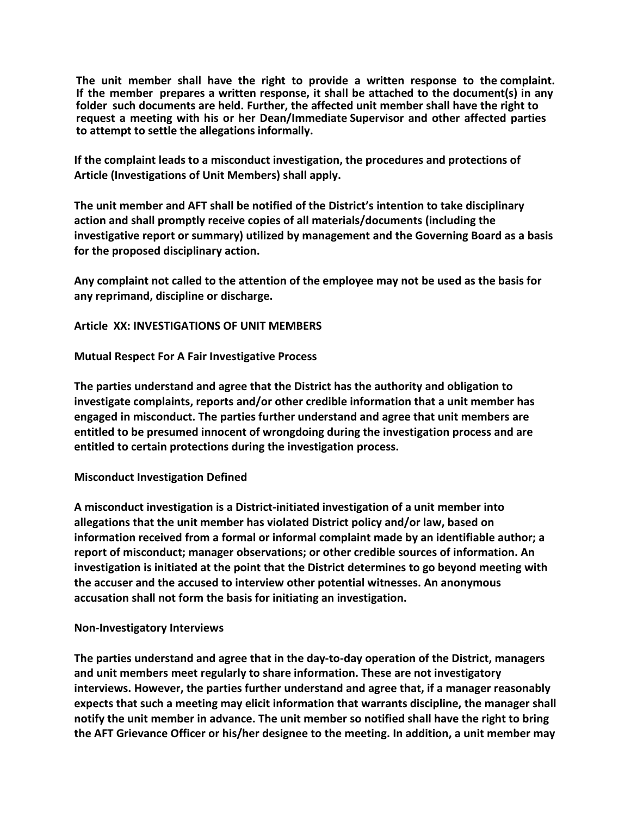**The unit member shall have the right to provide a written response to the complaint. If the member prepares a written response, it shall be attached to the document(s) in any folder such documents are held. Further, the affected unit member shall have the right to request a meeting with his or her Dean/Immediate Supervisor and other affected parties to attempt to settle the allegations informally.**

**If the complaint leads to a misconduct investigation, the procedures and protections of Article (Investigations of Unit Members) shall apply.** 

**The unit member and AFT shall be notified of the District's intention to take disciplinary action and shall promptly receive copies of all materials/documents (including the investigative report or summary) utilized by management and the Governing Board as a basis for the proposed disciplinary action.**

**Any complaint not called to the attention of the employee may not be used as the basis for any reprimand, discipline or discharge.**

**Article XX: INVESTIGATIONS OF UNIT MEMBERS** 

**Mutual Respect For A Fair Investigative Process** 

**The parties understand and agree that the District has the authority and obligation to investigate complaints, reports and/or other credible information that a unit member has engaged in misconduct. The parties further understand and agree that unit members are entitled to be presumed innocent of wrongdoing during the investigation process and are entitled to certain protections during the investigation process.** 

# **Misconduct Investigation Defined**

**A misconduct investigation is a District-initiated investigation of a unit member into allegations that the unit member has violated District policy and/or law, based on information received from a formal or informal complaint made by an identifiable author; a report of misconduct; manager observations; or other credible sources of information. An investigation is initiated at the point that the District determines to go beyond meeting with the accuser and the accused to interview other potential witnesses. An anonymous accusation shall not form the basis for initiating an investigation.** 

#### **Non-Investigatory Interviews**

**The parties understand and agree that in the day-to-day operation of the District, managers and unit members meet regularly to share information. These are not investigatory interviews. However, the parties further understand and agree that, if a manager reasonably expects that such a meeting may elicit information that warrants discipline, the manager shall notify the unit member in advance. The unit member so notified shall have the right to bring the AFT Grievance Officer or his/her designee to the meeting. In addition, a unit member may**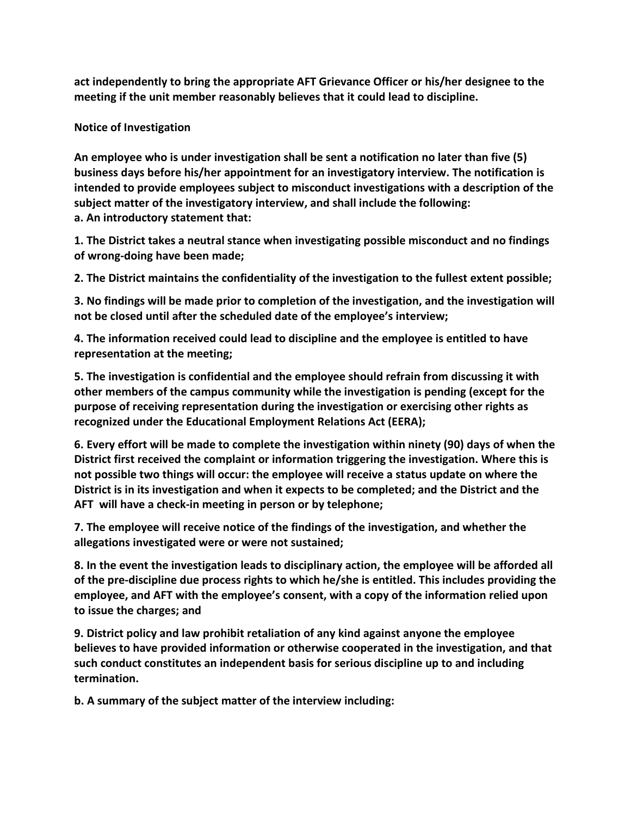**act independently to bring the appropriate AFT Grievance Officer or his/her designee to the meeting if the unit member reasonably believes that it could lead to discipline.** 

**Notice of Investigation** 

**An employee who is under investigation shall be sent a notification no later than five (5) business days before his/her appointment for an investigatory interview. The notification is intended to provide employees subject to misconduct investigations with a description of the subject matter of the investigatory interview, and shall include the following: a. An introductory statement that:** 

**1. The District takes a neutral stance when investigating possible misconduct and no findings of wrong-doing have been made;** 

**2. The District maintains the confidentiality of the investigation to the fullest extent possible;** 

**3. No findings will be made prior to completion of the investigation, and the investigation will not be closed until after the scheduled date of the employee's interview;** 

**4. The information received could lead to discipline and the employee is entitled to have representation at the meeting;** 

**5. The investigation is confidential and the employee should refrain from discussing it with other members of the campus community while the investigation is pending (except for the purpose of receiving representation during the investigation or exercising other rights as recognized under the Educational Employment Relations Act (EERA);** 

**6. Every effort will be made to complete the investigation within ninety (90) days of when the District first received the complaint or information triggering the investigation. Where this is not possible two things will occur: the employee will receive a status update on where the District is in its investigation and when it expects to be completed; and the District and the AFT will have a check-in meeting in person or by telephone;** 

**7. The employee will receive notice of the findings of the investigation, and whether the allegations investigated were or were not sustained;** 

**8. In the event the investigation leads to disciplinary action, the employee will be afforded all of the pre-discipline due process rights to which he/she is entitled. This includes providing the employee, and AFT with the employee's consent, with a copy of the information relied upon to issue the charges; and** 

**9. District policy and law prohibit retaliation of any kind against anyone the employee believes to have provided information or otherwise cooperated in the investigation, and that such conduct constitutes an independent basis for serious discipline up to and including termination.** 

**b. A summary of the subject matter of the interview including:**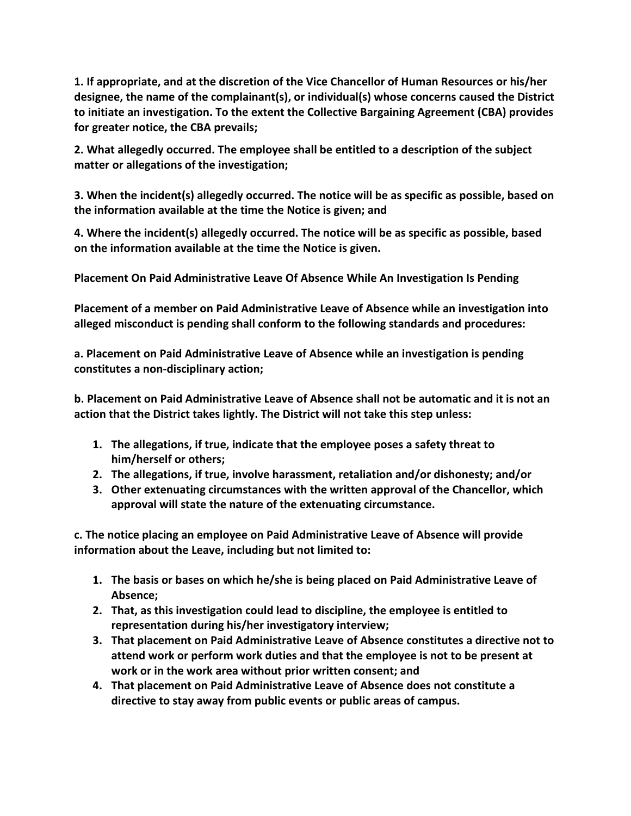**1. If appropriate, and at the discretion of the Vice Chancellor of Human Resources or his/her designee, the name of the complainant(s), or individual(s) whose concerns caused the District to initiate an investigation. To the extent the Collective Bargaining Agreement (CBA) provides for greater notice, the CBA prevails;** 

**2. What allegedly occurred. The employee shall be entitled to a description of the subject matter or allegations of the investigation;** 

**3. When the incident(s) allegedly occurred. The notice will be as specific as possible, based on the information available at the time the Notice is given; and** 

**4. Where the incident(s) allegedly occurred. The notice will be as specific as possible, based on the information available at the time the Notice is given.** 

**Placement On Paid Administrative Leave Of Absence While An Investigation Is Pending** 

**Placement of a member on Paid Administrative Leave of Absence while an investigation into alleged misconduct is pending shall conform to the following standards and procedures:** 

**a. Placement on Paid Administrative Leave of Absence while an investigation is pending constitutes a non-disciplinary action;** 

**b. Placement on Paid Administrative Leave of Absence shall not be automatic and it is not an action that the District takes lightly. The District will not take this step unless:** 

- **1. The allegations, if true, indicate that the employee poses a safety threat to him/herself or others;**
- **2. The allegations, if true, involve harassment, retaliation and/or dishonesty; and/or**
- **3. Other extenuating circumstances with the written approval of the Chancellor, which approval will state the nature of the extenuating circumstance.**

**c. The notice placing an employee on Paid Administrative Leave of Absence will provide information about the Leave, including but not limited to:** 

- **1. The basis or bases on which he/she is being placed on Paid Administrative Leave of Absence;**
- **2. That, as this investigation could lead to discipline, the employee is entitled to representation during his/her investigatory interview;**
- **3. That placement on Paid Administrative Leave of Absence constitutes a directive not to attend work or perform work duties and that the employee is not to be present at work or in the work area without prior written consent; and**
- **4. That placement on Paid Administrative Leave of Absence does not constitute a directive to stay away from public events or public areas of campus.**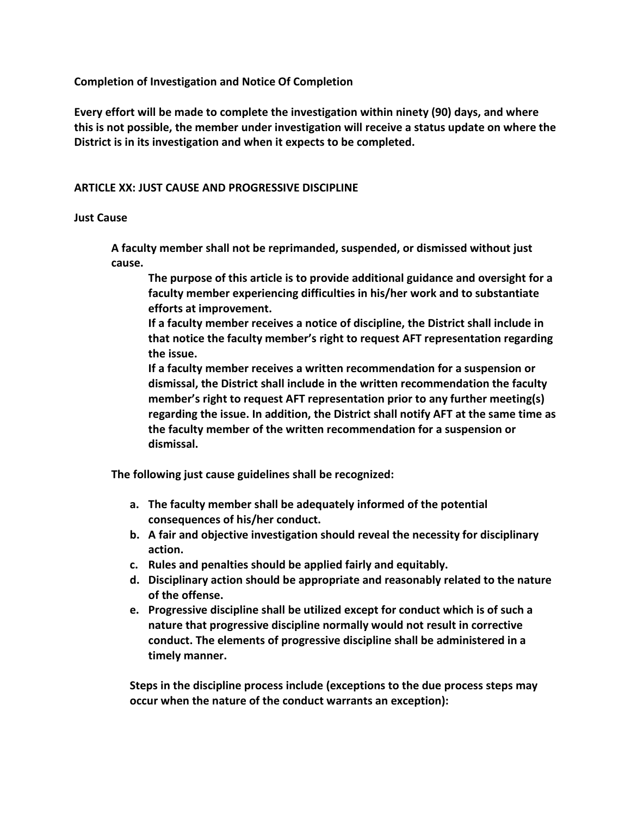**Completion of Investigation and Notice Of Completion** 

**Every effort will be made to complete the investigation within ninety (90) days, and where this is not possible, the member under investigation will receive a status update on where the District is in its investigation and when it expects to be completed.**

#### **ARTICLE XX: JUST CAUSE AND PROGRESSIVE DISCIPLINE**

#### **Just Cause**

**A faculty member shall not be reprimanded, suspended, or dismissed without just cause.**

**The purpose of this article is to provide additional guidance and oversight for a faculty member experiencing difficulties in his/her work and to substantiate efforts at improvement.**

**If a faculty member receives a notice of discipline, the District shall include in that notice the faculty member's right to request AFT representation regarding the issue.**

**If a faculty member receives a written recommendation for a suspension or dismissal, the District shall include in the written recommendation the faculty member's right to request AFT representation prior to any further meeting(s) regarding the issue. In addition, the District shall notify AFT at the same time as the faculty member of the written recommendation for a suspension or dismissal.** 

**The following just cause guidelines shall be recognized:** 

- **a. The faculty member shall be adequately informed of the potential consequences of his/her conduct.**
- **b. A fair and objective investigation should reveal the necessity for disciplinary action.**
- **c. Rules and penalties should be applied fairly and equitably.**
- **d. Disciplinary action should be appropriate and reasonably related to the nature of the offense.**
- **e. Progressive discipline shall be utilized except for conduct which is of such a nature that progressive discipline normally would not result in corrective conduct. The elements of progressive discipline shall be administered in a timely manner.**

**Steps in the discipline process include (exceptions to the due process steps may occur when the nature of the conduct warrants an exception):**